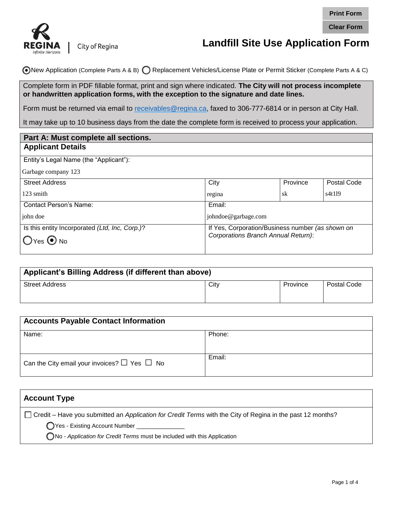



|                                                                                                                                                                                                                                                                                                                   |                                                                                                                       |          | <b>Print Form</b>  |  |
|-------------------------------------------------------------------------------------------------------------------------------------------------------------------------------------------------------------------------------------------------------------------------------------------------------------------|-----------------------------------------------------------------------------------------------------------------------|----------|--------------------|--|
|                                                                                                                                                                                                                                                                                                                   |                                                                                                                       |          | <b>Clear Form</b>  |  |
| REGINA<br>City of Regina                                                                                                                                                                                                                                                                                          | <b>Landfill Site Use Application Form</b>                                                                             |          |                    |  |
|                                                                                                                                                                                                                                                                                                                   | ONew Application (Complete Parts A & B) C Replacement Vehicles/License Plate or Permit Sticker (Complete Parts A & C) |          |                    |  |
| Complete form in PDF fillable format, print and sign where indicated. The City will not process incomplete<br>or handwritten application forms, with the exception to the signature and date lines.<br>Form must be returned via email to receivables@regina.ca, faxed to 306-777-6814 or in person at City Hall. |                                                                                                                       |          |                    |  |
| It may take up to 10 business days from the date the complete form is received to process your application.                                                                                                                                                                                                       |                                                                                                                       |          |                    |  |
| Part A: Must complete all sections.                                                                                                                                                                                                                                                                               |                                                                                                                       |          |                    |  |
| <b>Applicant Details</b>                                                                                                                                                                                                                                                                                          |                                                                                                                       |          |                    |  |
| Entity's Legal Name (the "Applicant"):                                                                                                                                                                                                                                                                            |                                                                                                                       |          |                    |  |
| Garbage company 123                                                                                                                                                                                                                                                                                               |                                                                                                                       |          |                    |  |
| <b>Street Address</b>                                                                                                                                                                                                                                                                                             | City                                                                                                                  | Province | <b>Postal Code</b> |  |
| 123 smith                                                                                                                                                                                                                                                                                                         | regina                                                                                                                | sk       | s4t119             |  |
| Contact Person's Name:                                                                                                                                                                                                                                                                                            | Email:                                                                                                                |          |                    |  |
| john doe                                                                                                                                                                                                                                                                                                          | johndoe@garbage.com                                                                                                   |          |                    |  |
| Is this entity Incorporated (Ltd, Inc, Corp.)?<br>Yes $\odot$ No                                                                                                                                                                                                                                                  | If Yes, Corporation/Business number (as shown on<br>Corporations Branch Annual Return):                               |          |                    |  |

| Applicant's Billing Address (if different than above) |      |          |             |
|-------------------------------------------------------|------|----------|-------------|
| <b>Street Address</b>                                 | City | Province | Postal Code |
|                                                       |      |          |             |

| <b>Accounts Payable Contact Information</b>            |        |  |  |
|--------------------------------------------------------|--------|--|--|
| Name:                                                  | Phone: |  |  |
|                                                        |        |  |  |
| Can the City email your invoices? $\Box$ Yes $\Box$ No | Email: |  |  |

| <b>Account Type</b>                                                                                                                                                                                                                      |  |
|------------------------------------------------------------------------------------------------------------------------------------------------------------------------------------------------------------------------------------------|--|
| Credit – Have you submitted an Application for Credit Terms with the City of Regina in the past 12 months?<br>◯ Yes - Existing Account Number _____________<br>ONo - Application for Credit Terms must be included with this Application |  |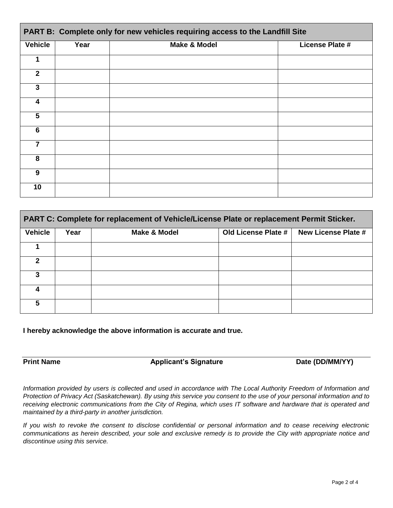| PART B: Complete only for new vehicles requiring access to the Landfill Site |      |                         |                        |
|------------------------------------------------------------------------------|------|-------------------------|------------------------|
| <b>Vehicle</b>                                                               | Year | <b>Make &amp; Model</b> | <b>License Plate #</b> |
| 1                                                                            |      |                         |                        |
| $\overline{2}$                                                               |      |                         |                        |
| 3                                                                            |      |                         |                        |
| 4                                                                            |      |                         |                        |
| 5                                                                            |      |                         |                        |
| $6\phantom{1}6$                                                              |      |                         |                        |
| 7                                                                            |      |                         |                        |
| 8                                                                            |      |                         |                        |
| 9                                                                            |      |                         |                        |
| 10                                                                           |      |                         |                        |

| PART C: Complete for replacement of Vehicle/License Plate or replacement Permit Sticker. |      |                         |                     |                            |
|------------------------------------------------------------------------------------------|------|-------------------------|---------------------|----------------------------|
| <b>Vehicle</b>                                                                           | Year | <b>Make &amp; Model</b> | Old License Plate # | <b>New License Plate #</b> |
|                                                                                          |      |                         |                     |                            |
| 2                                                                                        |      |                         |                     |                            |
| 3                                                                                        |      |                         |                     |                            |
|                                                                                          |      |                         |                     |                            |
| 5                                                                                        |      |                         |                     |                            |

**I hereby acknowledge the above information is accurate and true.** 

**Print Name Construction Applicant's Signature Construction Cate (DD/MM/YY)** 

*Information provided by users is collected and used in accordance with The Local Authority Freedom of Information and Protection of Privacy Act (Saskatchewan). By using this service you consent to the use of your personal information and to receiving electronic communications from the City of Regina, which uses IT software and hardware that is operated and maintained by a third-party in another jurisdiction.* 

*If you wish to revoke the consent to disclose confidential or personal information and to cease receiving electronic communications as herein described, your sole and exclusive remedy is to provide the City with appropriate notice and discontinue using this service.*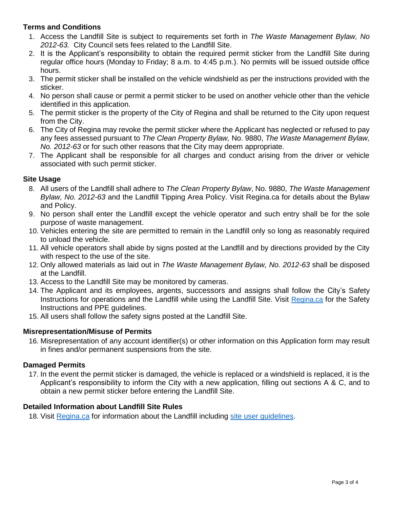# **Terms and Conditions**

- 1. Access the Landfill Site is subject to requirements set forth in *The Waste Management Bylaw, No 2012-63.* City Council sets fees related to the Landfill Site.
- 2. It is the Applicant's responsibility to obtain the required permit sticker from the Landfill Site during regular office hours (Monday to Friday; 8 a.m. to 4:45 p.m.). No permits will be issued outside office hours.
- 3. The permit sticker shall be installed on the vehicle windshield as per the instructions provided with the sticker.
- 4. No person shall cause or permit a permit sticker to be used on another vehicle other than the vehicle identified in this application.
- 5. The permit sticker is the property of the City of Regina and shall be returned to the City upon request from the City.
- 6. The City of Regina may revoke the permit sticker where the Applicant has neglected or refused to pay any fees assessed pursuant to *The Clean Property Bylaw,* No. 9880, *The Waste Management Bylaw, No. 2012-63* or for such other reasons that the City may deem appropriate.
- 7. The Applicant shall be responsible for all charges and conduct arising from the driver or vehicle associated with such permit sticker.

### **Site Usage**

- 8. All users of the Landfill shall adhere to *The Clean Property Bylaw*, No. 9880, *The Waste Management Bylaw, No. 2012-63* and the Landfill Tipping Area Policy. Visit Regina.ca for details about the Bylaw and Policy.
- 9. No person shall enter the Landfill except the vehicle operator and such entry shall be for the sole purpose of waste management.
- 10. Vehicles entering the site are permitted to remain in the Landfill only so long as reasonably required to unload the vehicle.
- 11. All vehicle operators shall abide by signs posted at the Landfill and by directions provided by the City with respect to the use of the site.
- 12. Only allowed materials as laid out in *The Waste Management Bylaw, No. 2012-63* shall be disposed at the Landfill.
- 13. Access to the Landfill Site may be monitored by cameras.
- 14. The Appl[icant and i](http://www.regina.ca/residents/waste/landfill/index.htm)ts employees, argents, successors and assigns shall follow the City's Safety Instructions for operations and the Landfill while using the Landfill Site. Visit Regina.ca for the Safety Instructions and PPE guidelines.
- 15. All users shall follow the safety signs posted at the Landfill Site.

### **Misrepresentation/Misuse of Permits**

16. Misrepresentation of any account identifier(s) or other information on this Application form may result in fines and/or permanent suspensions from the site.

# **Damaged Permits**

17. In the event the permit sticker is damaged, the vehicle is replaced or a windshield is replaced, it is the Applicant's responsibility to inform the City with a new application, filling out sections A & C, and to obta[in a new pe](http://www.regina.ca/residents/waste/landfill/index.htm)rmit sticker before entering the Landfill Sit[e.](http://www.regina.ca/opencms/export/sites/regina.ca/residents/waste/.media/pdf/landfill-tipping.pdf) 

### **Detailed Information about Landfill Site Rules**

18. Visit Regina.ca for information about the Landfill including site user guidelines.